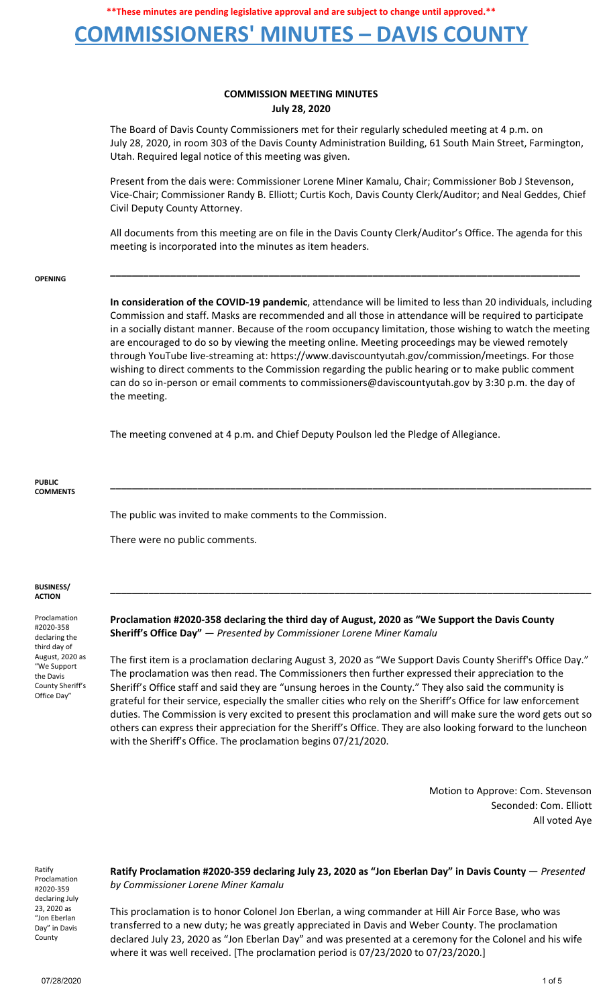## **COMMISSIONERS' MINUTES – DAVIS COUNTY**

## **COMMISSION MEETING MINUTES July 28, 2020**

The Board of Davis County Commissioners met for their regularly scheduled meeting at 4 p.m. on July 28, 2020, in room 303 of the Davis County Administration Building, 61 South Main Street, Farmington, Utah. Required legal notice of this meeting was given.

Present from the dais were: Commissioner Lorene Miner Kamalu, Chair; Commissioner Bob J Stevenson, Vice-Chair; Commissioner Randy B. Elliott; Curtis Koch, Davis County Clerk/Auditor; and Neal Geddes, Chief Civil Deputy County Attorney.

All documents from this meeting are on file in the Davis County Clerk/Auditor's Office. The agenda for this meeting is incorporated into the minutes as item headers.

**\_\_\_\_\_\_\_\_\_\_\_\_\_\_\_\_\_\_\_\_\_\_\_\_\_\_\_\_\_\_\_\_\_\_\_\_\_\_\_\_\_\_\_\_\_\_\_\_\_\_\_\_\_\_\_\_\_\_\_\_\_\_\_\_\_\_\_\_\_\_\_\_\_\_\_\_\_\_\_\_\_\_\_\_\_\_**

#### **OPENING**

**In consideration of the COVID-19 pandemic**, attendance will be limited to less than 20 individuals, including Commission and staff. Masks are recommended and all those in attendance will be required to participate in a socially distant manner. Because of the room occupancy limitation, those wishing to watch the meeting are encouraged to do so by viewing the meeting online. Meeting proceedings may be viewed remotely through YouTube live-streaming at: https://www.daviscountyutah.gov/commission/meetings. For those wishing to direct comments to the Commission regarding the public hearing or to make public comment can do so in-person or email comments to commissioners@daviscountyutah.gov by 3:30 p.m. the day of the meeting.

**\_\_\_\_\_\_\_\_\_\_\_\_\_\_\_\_\_\_\_\_\_\_\_\_\_\_\_\_\_\_\_\_\_\_\_\_\_\_\_\_\_\_\_\_\_\_\_\_\_\_\_\_\_\_\_\_\_\_\_\_\_\_\_\_\_\_\_\_\_\_\_\_\_\_\_\_\_\_\_\_\_\_\_\_\_\_\_\_**

**\_\_\_\_\_\_\_\_\_\_\_\_\_\_\_\_\_\_\_\_\_\_\_\_\_\_\_\_\_\_\_\_\_\_\_\_\_\_\_\_\_\_\_\_\_\_\_\_\_\_\_\_\_\_\_\_\_\_\_\_\_\_\_\_\_\_\_\_\_\_\_\_\_\_\_\_\_\_\_\_\_\_\_\_\_\_\_\_**

The meeting convened at 4 p.m. and Chief Deputy Poulson led the Pledge of Allegiance.

#### **PUBLIC COMMENTS**

The public was invited to make comments to the Commission.

There were no public comments.

### **BUSINESS/ ACTION**

Proclamation #2020-358 declaring the third day of August, 2020 as "We Support the Davis County Sheriff's Office Day"

**Proclamation #2020-358 declaring the third day of August, 2020 as "We Support the Davis County Sheriff's Office Day"** — *Presented by Commissioner Lorene Miner Kamalu*

The first item is a proclamation declaring August 3, 2020 as "We Support Davis County Sheriff's Office Day." The proclamation was then read. The Commissioners then further expressed their appreciation to the Sheriff's Office staff and said they are "unsung heroes in the County." They also said the community is grateful for their service, especially the smaller cities who rely on the Sheriff's Office for law enforcement duties. The Commission is very excited to present this proclamation and will make sure the word gets out so others can express their appreciation for the Sheriff's Office. They are also looking forward to the luncheon with the Sheriff's Office. The proclamation begins 07/21/2020.

> Motion to Approve: Com. Stevenson Seconded: Com. Elliott All voted Aye

Ratify Proclamation #2020-359 declaring July 23, 2020 as "Jon Eberlan Day" in Davis County

**Ratify Proclamation #2020-359 declaring July 23, 2020 as "Jon Eberlan Day" in Davis County** — *Presented by Commissioner Lorene Miner Kamalu*

This proclamation is to honor Colonel Jon Eberlan, a wing commander at Hill Air Force Base, who was transferred to a new duty; he was greatly appreciated in Davis and Weber County. The proclamation declared July 23, 2020 as "Jon Eberlan Day" and was presented at a ceremony for the Colonel and his wife where it was well received. [The proclamation period is 07/23/2020 to 07/23/2020.]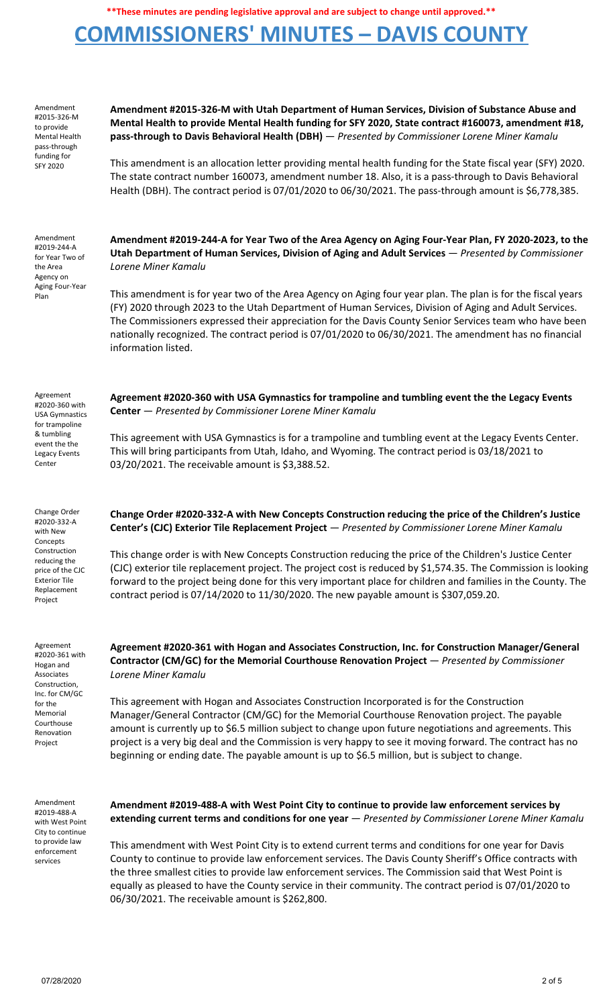## **COMMISSIONERS' MINUTES – DAVIS COUNTY**

Amendment #2015-326-M to provide Mental Health pass-through funding for SFY 2020

**Mental Health to provide Mental Health funding for SFY 2020, State contract #160073, amendment #18, pass-through to Davis Behavioral Health (DBH)** — *Presented by Commissioner Lorene Miner Kamalu*

**Amendment #2015-326-M with Utah Department of Human Services, Division of Substance Abuse and**

This amendment is an allocation letter providing mental health funding for the State fiscal year (SFY) 2020. The state contract number 160073, amendment number 18. Also, it is a pass-through to Davis Behavioral Health (DBH). The contract period is 07/01/2020 to 06/30/2021. The pass-through amount is \$6,778,385.

Amendment #2019-244-A for Year Two of the Area Agency on Aging Four-Year Plan

**Amendment #2019-244-A for Year Two of the Area Agency on Aging Four-Year Plan, FY 2020-2023, to the Utah Department of Human Services, Division of Aging and Adult Services** — *Presented by Commissioner Lorene Miner Kamalu*

This amendment is for year two of the Area Agency on Aging four year plan. The plan is for the fiscal years (FY) 2020 through 2023 to the Utah Department of Human Services, Division of Aging and Adult Services. The Commissioners expressed their appreciation for the Davis County Senior Services team who have been nationally recognized. The contract period is 07/01/2020 to 06/30/2021. The amendment has no financial information listed.

**Agreement #2020-360 with USA Gymnastics for trampoline and tumbling event the the Legacy Events**

This agreement with USA Gymnastics is for a trampoline and tumbling event at the Legacy Events Center.

This will bring participants from Utah, Idaho, and Wyoming. The contract period is 03/18/2021 to

**Center** — *Presented by Commissioner Lorene Miner Kamalu*

03/20/2021. The receivable amount is \$3,388.52.

Agreement #2020-360 with USA Gymnastics for trampoline & tumbling event the the Legacy Events Center

Change Order #2020-332-A with New **Concepts** Construction reducing the price of the CJC Exterior Tile Replacement Project

Agreement #2020-361 with Hogan and Associates Construction, Inc. for CM/GC for the Memorial Courthouse Renovation Project

Amendment #2019-488-A with West Point City to continue to provide law enforcement services

**Change Order #2020-332-A with New Concepts Construction reducing the price of the Children's Justice Center's (CJC) Exterior Tile Replacement Project** — *Presented by Commissioner Lorene Miner Kamalu*

This change order is with New Concepts Construction reducing the price of the Children's Justice Center (CJC) exterior tile replacement project. The project cost is reduced by \$1,574.35. The Commission is looking forward to the project being done for this very important place for children and families in the County. The contract period is 07/14/2020 to 11/30/2020. The new payable amount is \$307,059.20.

**Agreement #2020-361 with Hogan and Associates Construction, Inc. for Construction Manager/General Contractor (CM/GC) for the Memorial Courthouse Renovation Project** — *Presented by Commissioner Lorene Miner Kamalu*

This agreement with Hogan and Associates Construction Incorporated is for the Construction Manager/General Contractor (CM/GC) for the Memorial Courthouse Renovation project. The payable amount is currently up to \$6.5 million subject to change upon future negotiations and agreements. This project is a very big deal and the Commission is very happy to see it moving forward. The contract has no beginning or ending date. The payable amount is up to \$6.5 million, but is subject to change.

**Amendment #2019-488-A with West Point City to continue to provide law enforcement services by extending current terms and conditions for one year** — *Presented by Commissioner Lorene Miner Kamalu*

This amendment with West Point City is to extend current terms and conditions for one year for Davis County to continue to provide law enforcement services. The Davis County Sheriff's Office contracts with the three smallest cities to provide law enforcement services. The Commission said that West Point is equally as pleased to have the County service in their community. The contract period is 07/01/2020 to 06/30/2021. The receivable amount is \$262,800.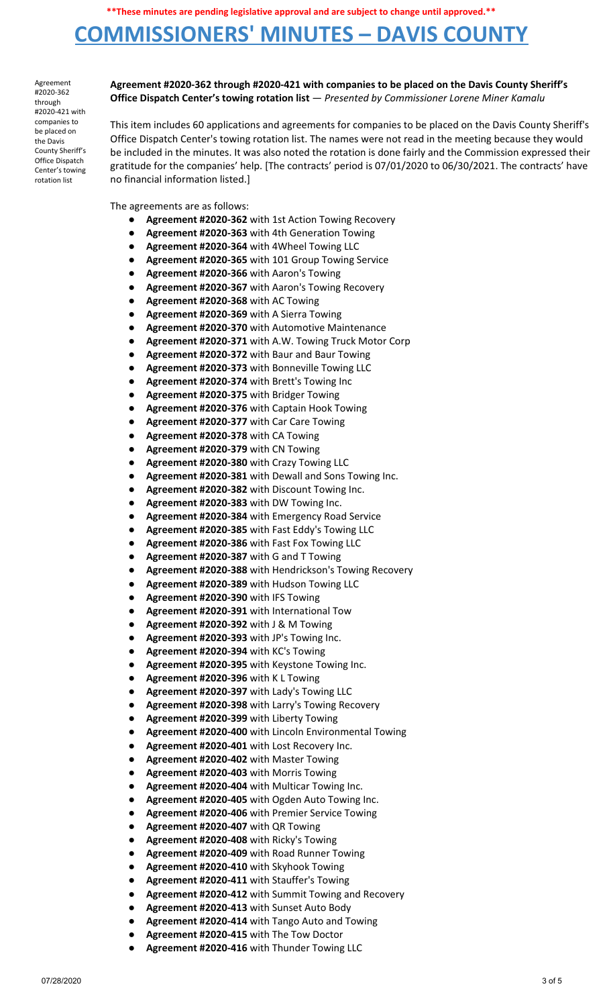# **COMMISSIONERS' MINUTES – DAVIS COUNTY**

Agreement #2020-362 through #2020-421 with companies to be placed on the Davis County Sheriff's Office Dispatch Center's towing rotation list

### **Agreement #2020-362 through #2020-421 with companies to be placed on the Davis County Sheriff's Office Dispatch Center's towing rotation list** — *Presented by Commissioner Lorene Miner Kamalu*

This item includes 60 applications and agreements for companies to be placed on the Davis County Sheriff's Office Dispatch Center's towing rotation list. The names were not read in the meeting because they would be included in the minutes. It was also noted the rotation is done fairly and the Commission expressed their gratitude for the companies' help. [The contracts' period is 07/01/2020 to 06/30/2021. The contracts' have no financial information listed.]

The agreements are as follows:

- Agreement #2020-362 with 1st Action Towing Recovery
- **Agreement #2020-363** with 4th Generation Towing
- **Agreement #2020-364** with 4Wheel Towing LLC
- **Agreement #2020-365** with 101 Group Towing Service
- **Agreement #2020-366** with Aaron's Towing
- Agreement #2020-367 with Aaron's Towing Recovery
- **Agreement #2020-368** with AC Towing
- **Agreement #2020-369** with A Sierra Towing
- **Agreement #2020-370** with Automotive Maintenance
- **Agreement #2020-371** with A.W. Towing Truck Motor Corp
- **Agreement #2020-372** with Baur and Baur Towing
- **Agreement #2020-373** with Bonneville Towing LLC
- **Agreement #2020-374** with Brett's Towing Inc
- **Agreement #2020-375** with Bridger Towing
- Agreement #2020-376 with Captain Hook Towing
- **Agreement #2020-377** with Car Care Towing
- **Agreement #2020-378** with CA Towing
- **Agreement #2020-379** with CN Towing
- **Agreement #2020-380** with Crazy Towing LLC
- Agreement #2020-381 with Dewall and Sons Towing Inc.
- Agreement #2020-382 with Discount Towing Inc.
- **Agreement #2020-383** with DW Towing Inc.
- Agreement #2020-384 with Emergency Road Service
- **Agreement #2020-385** with Fast Eddy's Towing LLC
- Agreement #2020-386 with Fast Fox Towing LLC
- **Agreement #2020-387** with G and T Towing
- Agreement #2020-388 with Hendrickson's Towing Recovery
- **Agreement #2020-389** with Hudson Towing LLC
- **Agreement #2020-390** with IFS Towing
- **Agreement #2020-391** with International Tow
- **Agreement #2020-392** with J & M Towing
- **Agreement #2020-393** with JP's Towing Inc.
- **Agreement #2020-394** with KC's Towing
- Agreement #2020-395 with Keystone Towing Inc.
- **Agreement #2020-396** with K L Towing
- **Agreement #2020-397** with Lady's Towing LLC
- Agreement #2020-398 with Larry's Towing Recovery
- **Agreement #2020-399** with Liberty Towing
- **Agreement #2020-400** with Lincoln Environmental Towing
- **Agreement #2020-401** with Lost Recovery Inc.
- **Agreement #2020-402** with Master Towing
- **Agreement #2020-403** with Morris Towing
- **Agreement #2020-404** with Multicar Towing Inc.
- **Agreement #2020-405** with Ogden Auto Towing Inc.
- **Agreement #2020-406** with Premier Service Towing
- **Agreement #2020-407** with QR Towing
- **Agreement #2020-408** with Ricky's Towing
- **Agreement #2020-409** with Road Runner Towing
- **Agreement #2020-410** with Skyhook Towing
- **Agreement #2020-411** with Stauffer's Towing
- **Agreement #2020-412** with Summit Towing and Recovery
- **Agreement #2020-413** with Sunset Auto Body
- **Agreement #2020-414** with Tango Auto and Towing
- **Agreement #2020-415** with The Tow Doctor
- **Agreement #2020-416** with Thunder Towing LLC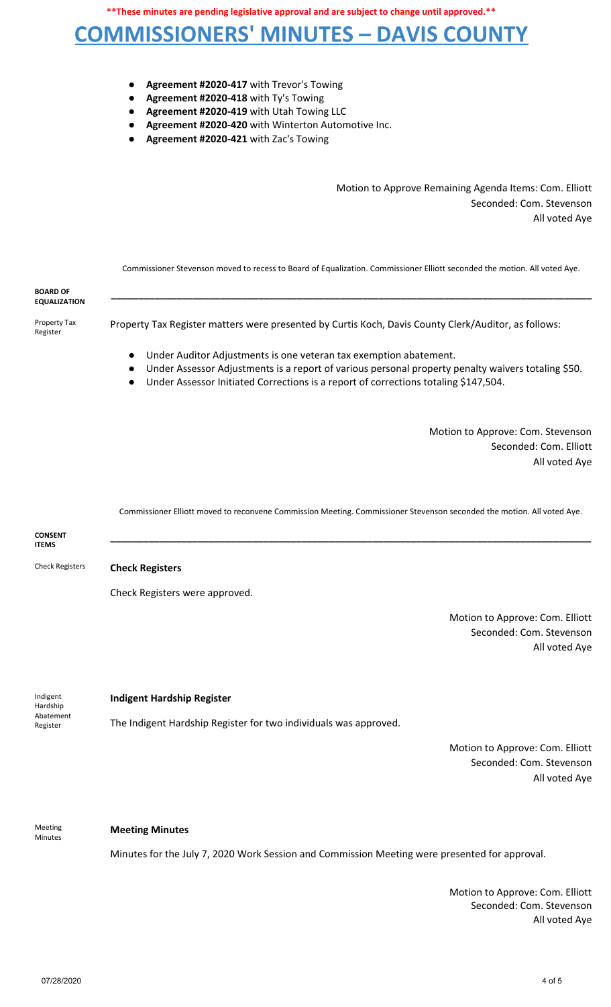# **COMMISSIONERS' MINUTES – DAVIS COUNTY**

- **Agreement #2020-417** with Trevor's Towing
- **Agreement #2020-418** with Ty's Towing
- **Agreement #2020-419** with Utah Towing LLC
- Agreement #2020-420 with Winterton Automotive Inc.
- **Agreement #2020-421** with Zac's Towing

Motion to Approve Remaining Agenda Items: Com. Elliott Seconded: Com. Stevenson All voted Aye

Commissioner Stevenson moved to recess to Board of Equalization. Commissioner Elliott seconded the motion. All voted Aye.

**\_\_\_\_\_\_\_\_\_\_\_\_\_\_\_\_\_\_\_\_\_\_\_\_\_\_\_\_\_\_\_\_\_\_\_\_\_\_\_\_\_\_\_\_\_\_\_\_\_\_\_\_\_\_\_\_\_\_\_\_\_\_\_\_\_\_\_\_\_\_\_\_\_\_\_\_\_\_\_\_\_\_\_\_\_\_\_\_**

**BOARD OF EQUALIZATION**

Property Tax Register

- Property Tax Register matters were presented by Curtis Koch, Davis County Clerk/Auditor, as follows:
	- Under Auditor Adjustments is one veteran tax exemption abatement.
	- Under Assessor Adjustments is a report of various personal property penalty waivers totaling \$50.
		- Under Assessor Initiated Corrections is a report of corrections totaling \$147,504.

Motion to Approve: Com. Stevenson Seconded: Com. Elliott All voted Aye

Commissioner Elliott moved to reconvene Commission Meeting. Commissioner Stevenson seconded the motion. All voted Aye.



Meeting Minutes

### **Meeting Minutes**

Minutes for the July 7, 2020 Work Session and Commission Meeting were presented for approval.

Motion to Approve: Com. Elliott Seconded: Com. Stevenson All voted Aye